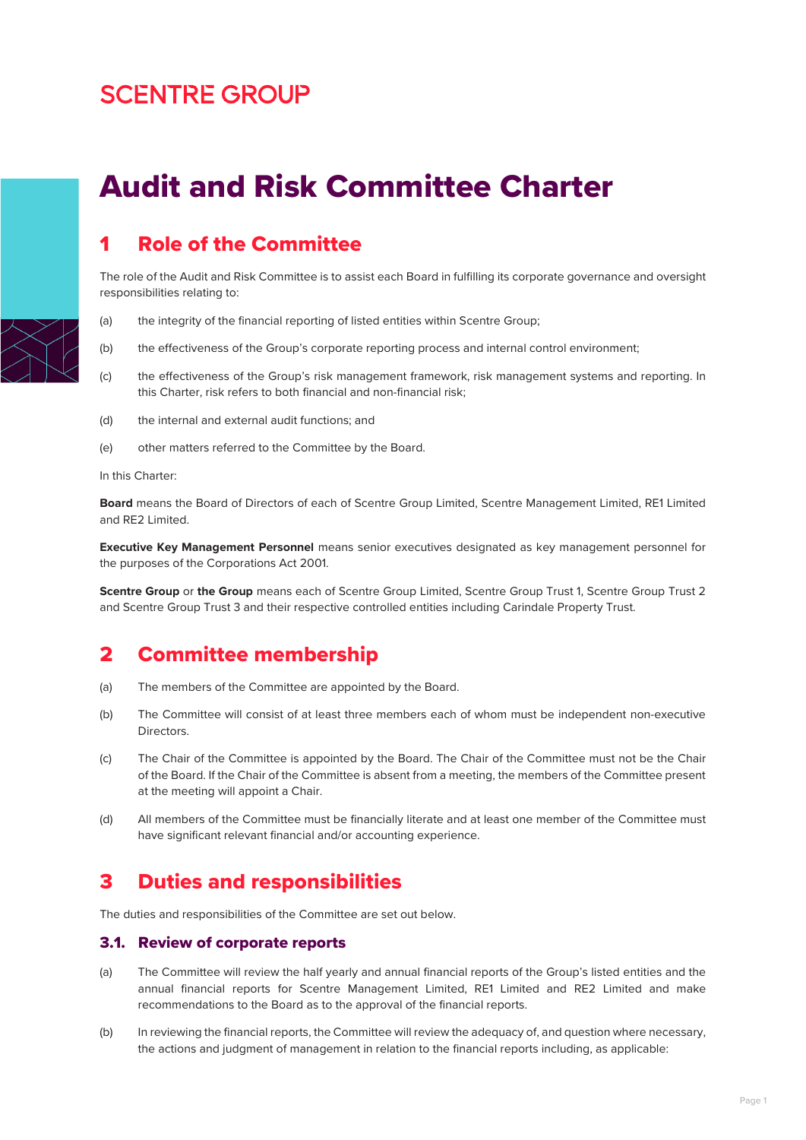# **SCENTRE GROUP**

# Audit and Risk Committee Charter

## 1 Role of the Committee

The role of the Audit and Risk Committee is to assist each Board in fulfilling its corporate governance and oversight responsibilities relating to:

- (a) the integrity of the financial reporting of listed entities within Scentre Group;
- (b) the effectiveness of the Group's corporate reporting process and internal control environment;
- (c) the effectiveness of the Group's risk management framework, risk management systems and reporting. In this Charter, risk refers to both financial and non-financial risk;
- (d) the internal and external audit functions; and
- (e) other matters referred to the Committee by the Board.

In this Charter:

**Board** means the Board of Directors of each of Scentre Group Limited, Scentre Management Limited, RE1 Limited and RE2 Limited.

**Executive Key Management Personnel** means senior executives designated as key management personnel for the purposes of the Corporations Act 2001.

**Scentre Group** or **the Group** means each of Scentre Group Limited, Scentre Group Trust 1, Scentre Group Trust 2 and Scentre Group Trust 3 and their respective controlled entities including Carindale Property Trust.

### 2 Committee membership

- (a) The members of the Committee are appointed by the Board.
- (b) The Committee will consist of at least three members each of whom must be independent non-executive Directors.
- (c) The Chair of the Committee is appointed by the Board. The Chair of the Committee must not be the Chair of the Board. If the Chair of the Committee is absent from a meeting, the members of the Committee present at the meeting will appoint a Chair.
- (d) All members of the Committee must be financially literate and at least one member of the Committee must have significant relevant financial and/or accounting experience.

### 3 Duties and responsibilities

The duties and responsibilities of the Committee are set out below.

#### 3.1. Review of corporate reports

- (a) The Committee will review the half yearly and annual financial reports of the Group's listed entities and the annual financial reports for Scentre Management Limited, RE1 Limited and RE2 Limited and make recommendations to the Board as to the approval of the financial reports.
- (b) In reviewing the financial reports, the Committee will review the adequacy of, and question where necessary, the actions and judgment of management in relation to the financial reports including, as applicable:

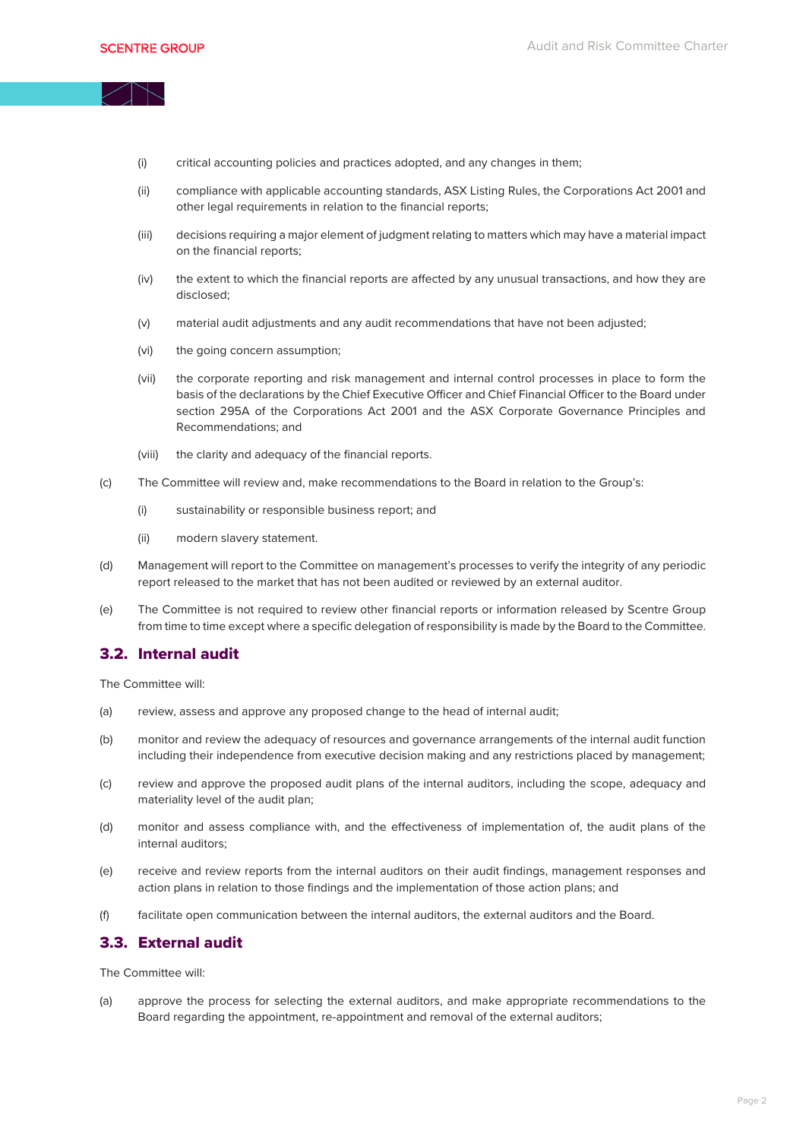- (i) critical accounting policies and practices adopted, and any changes in them;
- (ii) compliance with applicable accounting standards, ASX Listing Rules, the Corporations Act 2001 and other legal requirements in relation to the financial reports;
- (iii) decisions requiring a major element of judgment relating to matters which may have a material impact on the financial reports;
- (iv) the extent to which the financial reports are affected by any unusual transactions, and how they are disclosed;
- (v) material audit adjustments and any audit recommendations that have not been adjusted;
- (vi) the going concern assumption;
- (vii) the corporate reporting and risk management and internal control processes in place to form the basis of the declarations by the Chief Executive Officer and Chief Financial Officer to the Board under section 295A of the Corporations Act 2001 and the ASX Corporate Governance Principles and Recommendations; and
- (viii) the clarity and adequacy of the financial reports.
- (c) The Committee will review and, make recommendations to the Board in relation to the Group's:
	- (i) sustainability or responsible business report; and
	- (ii) modern slavery statement.
- (d) Management will report to the Committee on management's processes to verify the integrity of any periodic report released to the market that has not been audited or reviewed by an external auditor.
- (e) The Committee is not required to review other financial reports or information released by Scentre Group from time to time except where a specific delegation of responsibility is made by the Board to the Committee.

#### 3.2. Internal audit

The Committee will:

- (a) review, assess and approve any proposed change to the head of internal audit;
- (b) monitor and review the adequacy of resources and governance arrangements of the internal audit function including their independence from executive decision making and any restrictions placed by management;
- (c) review and approve the proposed audit plans of the internal auditors, including the scope, adequacy and materiality level of the audit plan;
- (d) monitor and assess compliance with, and the effectiveness of implementation of, the audit plans of the internal auditors;
- (e) receive and review reports from the internal auditors on their audit findings, management responses and action plans in relation to those findings and the implementation of those action plans; and
- (f) facilitate open communication between the internal auditors, the external auditors and the Board.

#### 3.3. External audit

The Committee will:

(a) approve the process for selecting the external auditors, and make appropriate recommendations to the Board regarding the appointment, re-appointment and removal of the external auditors;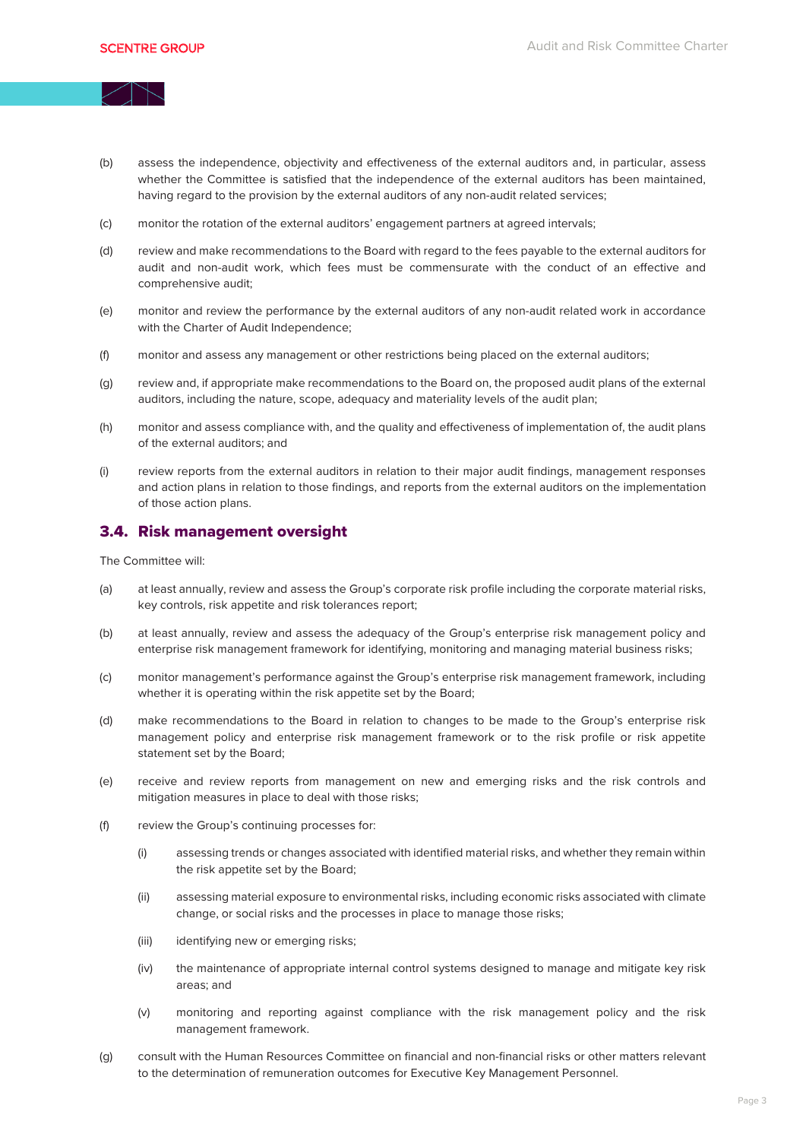- (b) assess the independence, objectivity and effectiveness of the external auditors and, in particular, assess whether the Committee is satisfied that the independence of the external auditors has been maintained, having regard to the provision by the external auditors of any non-audit related services;
- (c) monitor the rotation of the external auditors' engagement partners at agreed intervals;
- (d) review and make recommendations to the Board with regard to the fees payable to the external auditors for audit and non-audit work, which fees must be commensurate with the conduct of an effective and comprehensive audit;
- (e) monitor and review the performance by the external auditors of any non-audit related work in accordance with the Charter of Audit Independence;
- (f) monitor and assess any management or other restrictions being placed on the external auditors;
- (g) review and, if appropriate make recommendations to the Board on, the proposed audit plans of the external auditors, including the nature, scope, adequacy and materiality levels of the audit plan;
- (h) monitor and assess compliance with, and the quality and effectiveness of implementation of, the audit plans of the external auditors; and
- (i) review reports from the external auditors in relation to their major audit findings, management responses and action plans in relation to those findings, and reports from the external auditors on the implementation of those action plans.

#### 3.4. Risk management oversight

The Committee will:

- (a) at least annually, review and assess the Group's corporate risk profile including the corporate material risks, key controls, risk appetite and risk tolerances report;
- (b) at least annually, review and assess the adequacy of the Group's enterprise risk management policy and enterprise risk management framework for identifying, monitoring and managing material business risks;
- (c) monitor management's performance against the Group's enterprise risk management framework, including whether it is operating within the risk appetite set by the Board;
- (d) make recommendations to the Board in relation to changes to be made to the Group's enterprise risk management policy and enterprise risk management framework or to the risk profile or risk appetite statement set by the Board;
- (e) receive and review reports from management on new and emerging risks and the risk controls and mitigation measures in place to deal with those risks;
- (f) review the Group's continuing processes for:
	- (i) assessing trends or changes associated with identified material risks, and whether they remain within the risk appetite set by the Board;
	- (ii) assessing material exposure to environmental risks, including economic risks associated with climate change, or social risks and the processes in place to manage those risks;
	- (iii) identifying new or emerging risks;
	- (iv) the maintenance of appropriate internal control systems designed to manage and mitigate key risk areas; and
	- (v) monitoring and reporting against compliance with the risk management policy and the risk management framework.
- (g) consult with the Human Resources Committee on financial and non-financial risks or other matters relevant to the determination of remuneration outcomes for Executive Key Management Personnel.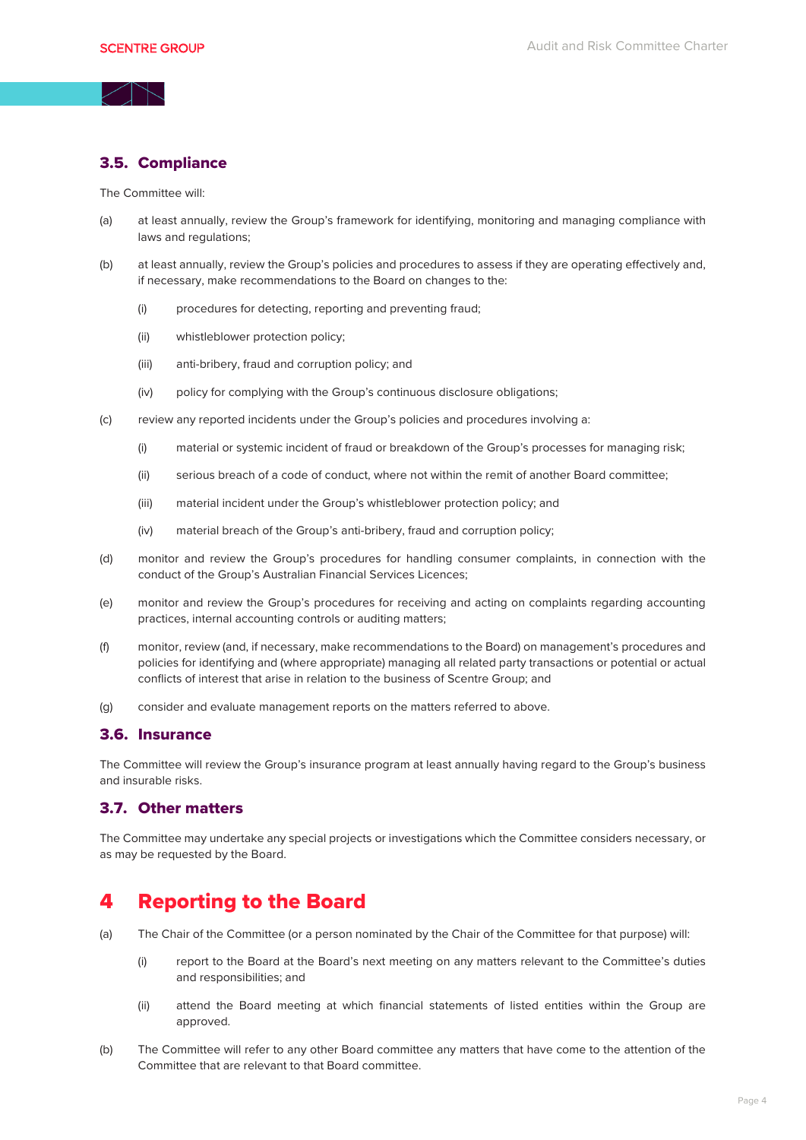#### 3.5. Compliance

The Committee will:

- (a) at least annually, review the Group's framework for identifying, monitoring and managing compliance with laws and regulations;
- (b) at least annually, review the Group's policies and procedures to assess if they are operating effectively and, if necessary, make recommendations to the Board on changes to the:
	- (i) procedures for detecting, reporting and preventing fraud;
	- (ii) whistleblower protection policy;
	- (iii) anti-bribery, fraud and corruption policy; and
	- (iv) policy for complying with the Group's continuous disclosure obligations;
- (c) review any reported incidents under the Group's policies and procedures involving a:
	- (i) material or systemic incident of fraud or breakdown of the Group's processes for managing risk;
	- (ii) serious breach of a code of conduct, where not within the remit of another Board committee;
	- (iii) material incident under the Group's whistleblower protection policy; and
	- (iv) material breach of the Group's anti-bribery, fraud and corruption policy;
- (d) monitor and review the Group's procedures for handling consumer complaints, in connection with the conduct of the Group's Australian Financial Services Licences;
- (e) monitor and review the Group's procedures for receiving and acting on complaints regarding accounting practices, internal accounting controls or auditing matters;
- (f) monitor, review (and, if necessary, make recommendations to the Board) on management's procedures and policies for identifying and (where appropriate) managing all related party transactions or potential or actual conflicts of interest that arise in relation to the business of Scentre Group; and
- (g) consider and evaluate management reports on the matters referred to above.

#### 3.6. Insurance

The Committee will review the Group's insurance program at least annually having regard to the Group's business and insurable risks.

#### 3.7. Other matters

The Committee may undertake any special projects or investigations which the Committee considers necessary, or as may be requested by the Board.

### 4 Reporting to the Board

- (a) The Chair of the Committee (or a person nominated by the Chair of the Committee for that purpose) will:
	- (i) report to the Board at the Board's next meeting on any matters relevant to the Committee's duties and responsibilities; and
	- (ii) attend the Board meeting at which financial statements of listed entities within the Group are approved.
- (b) The Committee will refer to any other Board committee any matters that have come to the attention of the Committee that are relevant to that Board committee.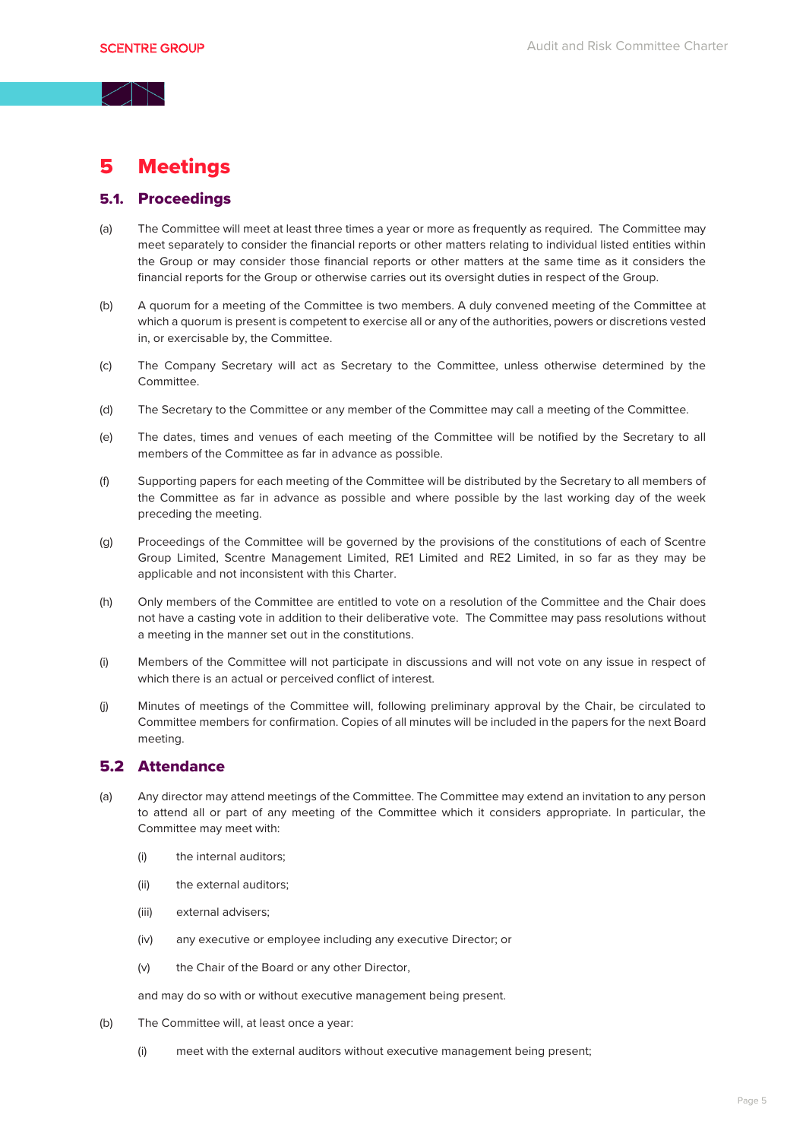### 5 Meetings

### 5.1. Proceedings

- (a) The Committee will meet at least three times a year or more as frequently as required. The Committee may meet separately to consider the financial reports or other matters relating to individual listed entities within the Group or may consider those financial reports or other matters at the same time as it considers the financial reports for the Group or otherwise carries out its oversight duties in respect of the Group.
- (b) A quorum for a meeting of the Committee is two members. A duly convened meeting of the Committee at which a quorum is present is competent to exercise all or any of the authorities, powers or discretions vested in, or exercisable by, the Committee.
- (c) The Company Secretary will act as Secretary to the Committee, unless otherwise determined by the Committee.
- (d) The Secretary to the Committee or any member of the Committee may call a meeting of the Committee.
- (e) The dates, times and venues of each meeting of the Committee will be notified by the Secretary to all members of the Committee as far in advance as possible.
- (f) Supporting papers for each meeting of the Committee will be distributed by the Secretary to all members of the Committee as far in advance as possible and where possible by the last working day of the week preceding the meeting.
- (g) Proceedings of the Committee will be governed by the provisions of the constitutions of each of Scentre Group Limited, Scentre Management Limited, RE1 Limited and RE2 Limited, in so far as they may be applicable and not inconsistent with this Charter.
- (h) Only members of the Committee are entitled to vote on a resolution of the Committee and the Chair does not have a casting vote in addition to their deliberative vote. The Committee may pass resolutions without a meeting in the manner set out in the constitutions.
- (i) Members of the Committee will not participate in discussions and will not vote on any issue in respect of which there is an actual or perceived conflict of interest.
- (j) Minutes of meetings of the Committee will, following preliminary approval by the Chair, be circulated to Committee members for confirmation. Copies of all minutes will be included in the papers for the next Board meeting.

#### 5.2 Attendance

- (a) Any director may attend meetings of the Committee. The Committee may extend an invitation to any person to attend all or part of any meeting of the Committee which it considers appropriate. In particular, the Committee may meet with:
	- (i) the internal auditors;
	- (ii) the external auditors;
	- (iii) external advisers;
	- (iv) any executive or employee including any executive Director; or
	- (v) the Chair of the Board or any other Director,

and may do so with or without executive management being present.

- (b) The Committee will, at least once a year:
	- (i) meet with the external auditors without executive management being present;